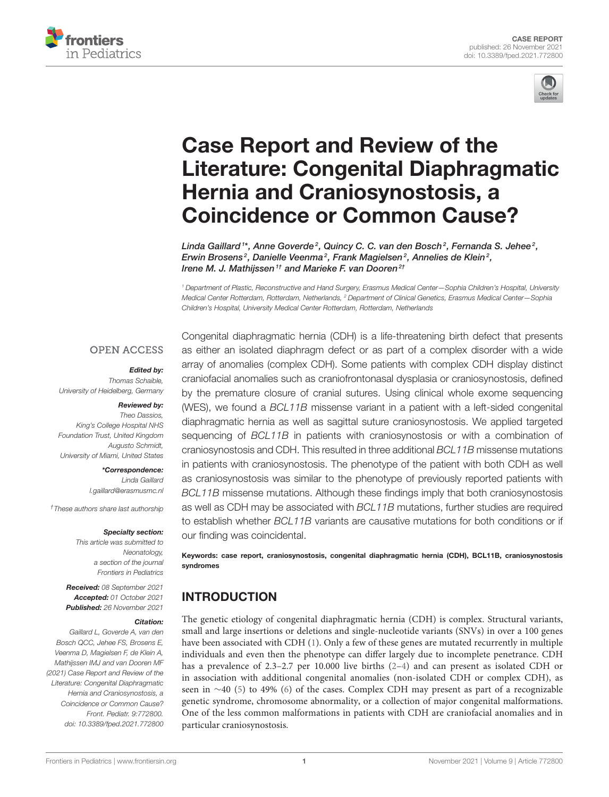



# Case Report and Review of the [Literature: Congenital Diaphragmatic](https://www.frontiersin.org/articles/10.3389/fped.2021.772800/full) Hernia and Craniosynostosis, a Coincidence or Common Cause?

Linda Gaillard  $^{\text{1}*}$ , Anne Goverde $^2$ , Quincy C. C. van den Bosch $^2$ , Fernanda S. Jehee $^2$ , Erwin Brosens<sup>2</sup>, Danielle Veenma<sup>2</sup>, Frank Magielsen<sup>2</sup>, Annelies de Klein<sup>2</sup>, Irene M. J. Mathijssen<sup>1†</sup> and Marieke F. van Dooren<sup>2†</sup>

*<sup>1</sup> Department of Plastic, Reconstructive and Hand Surgery, Erasmus Medical Center—Sophia Children's Hospital, University Medical Center Rotterdam, Rotterdam, Netherlands, <sup>2</sup> Department of Clinical Genetics, Erasmus Medical Center—Sophia Children's Hospital, University Medical Center Rotterdam, Rotterdam, Netherlands*

#### **OPEN ACCESS**

#### Edited by:

*Thomas Schaible, University of Heidelberg, Germany*

#### Reviewed by:

*Theo Dassios, King's College Hospital NHS Foundation Trust, United Kingdom Augusto Schmidt, University of Miami, United States*

> \*Correspondence: *Linda Gaillard [l.gaillard@erasmusmc.nl](mailto:l.gaillard@erasmusmc.nl)*

*†These authors share last authorship*

#### Specialty section:

*This article was submitted to Neonatology, a section of the journal Frontiers in Pediatrics*

Received: *08 September 2021* Accepted: *01 October 2021* Published: *26 November 2021*

#### Citation:

*Gaillard L, Goverde A, van den Bosch QCC, Jehee FS, Brosens E, Veenma D, Magielsen F, de Klein A, Mathijssen IMJ and van Dooren MF (2021) Case Report and Review of the Literature: Congenital Diaphragmatic Hernia and Craniosynostosis, a Coincidence or Common Cause? Front. Pediatr. 9:772800. doi: [10.3389/fped.2021.772800](https://doi.org/10.3389/fped.2021.772800)* Congenital diaphragmatic hernia (CDH) is a life-threatening birth defect that presents as either an isolated diaphragm defect or as part of a complex disorder with a wide array of anomalies (complex CDH). Some patients with complex CDH display distinct craniofacial anomalies such as craniofrontonasal dysplasia or craniosynostosis, defined by the premature closure of cranial sutures. Using clinical whole exome sequencing (WES), we found a *BCL11B* missense variant in a patient with a left-sided congenital diaphragmatic hernia as well as sagittal suture craniosynostosis. We applied targeted sequencing of *BCL11B* in patients with craniosynostosis or with a combination of craniosynostosis and CDH. This resulted in three additional *BCL11B* missense mutations in patients with craniosynostosis. The phenotype of the patient with both CDH as well as craniosynostosis was similar to the phenotype of previously reported patients with *BCL11B* missense mutations. Although these findings imply that both craniosynostosis as well as CDH may be associated with *BCL11B* mutations, further studies are required to establish whether *BCL11B* variants are causative mutations for both conditions or if our finding was coincidental.

Keywords: case report, craniosynostosis, congenital diaphragmatic hernia (CDH), BCL11B, craniosynostosis syndromes

## INTRODUCTION

The genetic etiology of congenital diaphragmatic hernia (CDH) is complex. Structural variants, small and large insertions or deletions and single-nucleotide variants (SNVs) in over a 100 genes have been associated with CDH [\(1\)](#page-10-0). Only a few of these genes are mutated recurrently in multiple individuals and even then the phenotype can differ largely due to incomplete penetrance. CDH has a prevalence of 2.3–2.7 per 10.000 live births [\(2–](#page-10-1)[4\)](#page-10-2) and can present as isolated CDH or in association with additional congenital anomalies (non-isolated CDH or complex CDH), as seen in ∼40 [\(5\)](#page-10-3) to 49% [\(6\)](#page-10-4) of the cases. Complex CDH may present as part of a recognizable genetic syndrome, chromosome abnormality, or a collection of major congenital malformations. One of the less common malformations in patients with CDH are craniofacial anomalies and in particular craniosynostosis.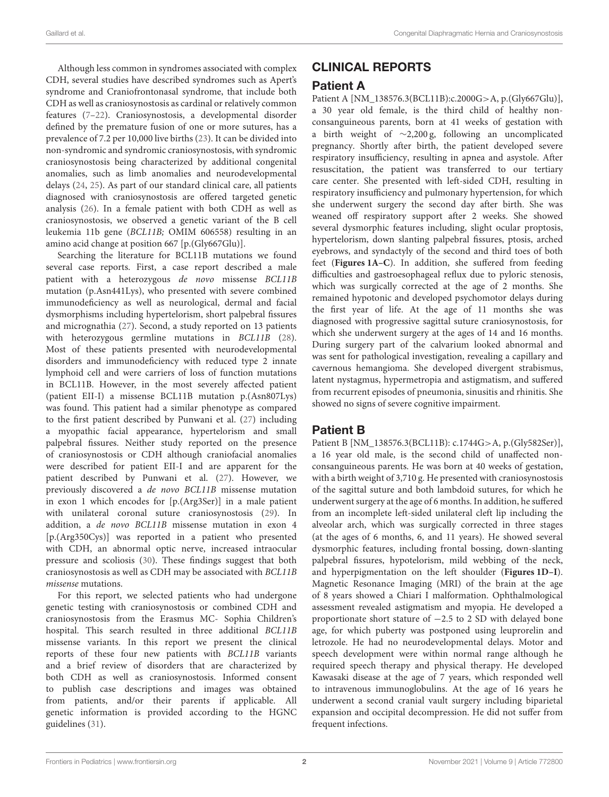Although less common in syndromes associated with complex CDH, several studies have described syndromes such as Apert's syndrome and Craniofrontonasal syndrome, that include both CDH as well as craniosynostosis as cardinal or relatively common features [\(7](#page-10-5)[–22\)](#page-10-6). Craniosynostosis, a developmental disorder defined by the premature fusion of one or more sutures, has a prevalence of 7.2 per 10,000 live births [\(23\)](#page-10-7). It can be divided into non-syndromic and syndromic craniosynostosis, with syndromic craniosynostosis being characterized by additional congenital anomalies, such as limb anomalies and neurodevelopmental delays [\(24,](#page-10-8) [25\)](#page-10-9). As part of our standard clinical care, all patients diagnosed with craniosynostosis are offered targeted genetic analysis [\(26\)](#page-10-10). In a female patient with both CDH as well as craniosynostosis, we observed a genetic variant of the B cell leukemia 11b gene (BCL11B; OMIM 606558) resulting in an amino acid change at position 667 [p.(Gly667Glu)].

Searching the literature for BCL11B mutations we found several case reports. First, a case report described a male patient with a heterozygous de novo missense BCL11B mutation (p.Asn441Lys), who presented with severe combined immunodeficiency as well as neurological, dermal and facial dysmorphisms including hypertelorism, short palpebral fissures and micrognathia [\(27\)](#page-10-11). Second, a study reported on 13 patients with heterozygous germline mutations in BCL11B [\(28\)](#page-10-12). Most of these patients presented with neurodevelopmental disorders and immunodeficiency with reduced type 2 innate lymphoid cell and were carriers of loss of function mutations in BCL11B. However, in the most severely affected patient (patient EII-I) a missense BCL11B mutation p.(Asn807Lys) was found. This patient had a similar phenotype as compared to the first patient described by Punwani et al. [\(27\)](#page-10-11) including a myopathic facial appearance, hypertelorism and small palpebral fissures. Neither study reported on the presence of craniosynostosis or CDH although craniofacial anomalies were described for patient EII-I and are apparent for the patient described by Punwani et al. [\(27\)](#page-10-11). However, we previously discovered a de novo BCL11B missense mutation in exon 1 which encodes for [p.(Arg3Ser)] in a male patient with unilateral coronal suture craniosynostosis [\(29\)](#page-10-13). In addition, a de novo BCL11B missense mutation in exon 4 [p.(Arg350Cys)] was reported in a patient who presented with CDH, an abnormal optic nerve, increased intraocular pressure and scoliosis [\(30\)](#page-11-0). These findings suggest that both craniosynostosis as well as CDH may be associated with BCL11B missense mutations.

For this report, we selected patients who had undergone genetic testing with craniosynostosis or combined CDH and craniosynostosis from the Erasmus MC- Sophia Children's hospital. This search resulted in three additional BCL11B missense variants. In this report we present the clinical reports of these four new patients with BCL11B variants and a brief review of disorders that are characterized by both CDH as well as craniosynostosis. Informed consent to publish case descriptions and images was obtained from patients, and/or their parents if applicable. All genetic information is provided according to the HGNC guidelines [\(31\)](#page-11-1).

# CLINICAL REPORTS

#### Patient A

Patient A [NM\_138576.3(BCL11B):c.2000G>A, p.(Gly667Glu)], a 30 year old female, is the third child of healthy nonconsanguineous parents, born at 41 weeks of gestation with a birth weight of ∼2,200 g, following an uncomplicated pregnancy. Shortly after birth, the patient developed severe respiratory insufficiency, resulting in apnea and asystole. After resuscitation, the patient was transferred to our tertiary care center. She presented with left-sided CDH, resulting in respiratory insufficiency and pulmonary hypertension, for which she underwent surgery the second day after birth. She was weaned off respiratory support after 2 weeks. She showed several dysmorphic features including, slight ocular proptosis, hypertelorism, down slanting palpebral fissures, ptosis, arched eyebrows, and syndactyly of the second and third toes of both feet (**[Figures 1A–C](#page-2-0)**). In addition, she suffered from feeding difficulties and gastroesophageal reflux due to pyloric stenosis, which was surgically corrected at the age of 2 months. She remained hypotonic and developed psychomotor delays during the first year of life. At the age of 11 months she was diagnosed with progressive sagittal suture craniosynostosis, for which she underwent surgery at the ages of 14 and 16 months. During surgery part of the calvarium looked abnormal and was sent for pathological investigation, revealing a capillary and cavernous hemangioma. She developed divergent strabismus, latent nystagmus, hypermetropia and astigmatism, and suffered from recurrent episodes of pneumonia, sinusitis and rhinitis. She showed no signs of severe cognitive impairment.

## Patient B

Patient B [NM\_138576.3(BCL11B): c.1744G>A, p.(Gly582Ser)], a 16 year old male, is the second child of unaffected nonconsanguineous parents. He was born at 40 weeks of gestation, with a birth weight of 3,710 g. He presented with craniosynostosis of the sagittal suture and both lambdoid sutures, for which he underwent surgery at the age of 6 months. In addition, he suffered from an incomplete left-sided unilateral cleft lip including the alveolar arch, which was surgically corrected in three stages (at the ages of 6 months, 6, and 11 years). He showed several dysmorphic features, including frontal bossing, down-slanting palpebral fissures, hypotelorism, mild webbing of the neck, and hyperpigmentation on the left shoulder (**[Figures 1D–I](#page-2-0)**). Magnetic Resonance Imaging (MRI) of the brain at the age of 8 years showed a Chiari I malformation. Ophthalmological assessment revealed astigmatism and myopia. He developed a proportionate short stature of −2.5 to 2 SD with delayed bone age, for which puberty was postponed using leuprorelin and letrozole. He had no neurodevelopmental delays. Motor and speech development were within normal range although he required speech therapy and physical therapy. He developed Kawasaki disease at the age of 7 years, which responded well to intravenous immunoglobulins. At the age of 16 years he underwent a second cranial vault surgery including biparietal expansion and occipital decompression. He did not suffer from frequent infections.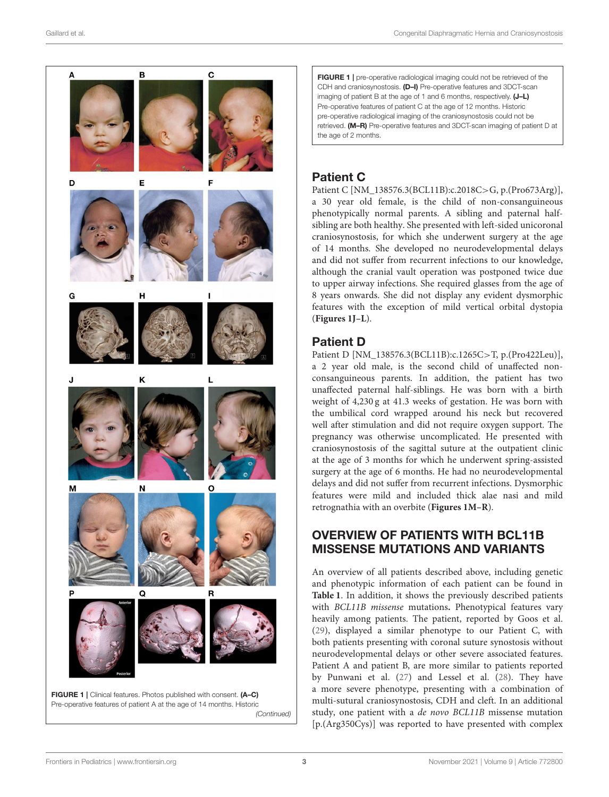

*(Continued)*

<span id="page-2-0"></span>FIGURE 1 | pre-operative radiological imaging could not be retrieved of the CDH and craniosynostosis. (D-I) Pre-operative features and 3DCT-scan imaging of patient B at the age of 1 and 6 months, respectively. (J-L) Pre-operative features of patient C at the age of 12 months. Historic pre-operative radiological imaging of the craniosynostosis could not be retrieved. (M–R) Pre-operative features and 3DCT-scan imaging of patient D at the age of 2 months.

# Patient C

Patient C [NM\_138576.3(BCL11B):c.2018C>G, p.(Pro673Arg)], a 30 year old female, is the child of non-consanguineous phenotypically normal parents. A sibling and paternal halfsibling are both healthy. She presented with left-sided unicoronal craniosynostosis, for which she underwent surgery at the age of 14 months. She developed no neurodevelopmental delays and did not suffer from recurrent infections to our knowledge, although the cranial vault operation was postponed twice due to upper airway infections. She required glasses from the age of 8 years onwards. She did not display any evident dysmorphic features with the exception of mild vertical orbital dystopia (**[Figures 1J–L](#page-2-0)**).

# Patient D

Patient D [NM\_138576.3(BCL11B):c.1265C>T, p.(Pro422Leu)], a 2 year old male, is the second child of unaffected nonconsanguineous parents. In addition, the patient has two unaffected paternal half-siblings. He was born with a birth weight of 4,230 g at 41.3 weeks of gestation. He was born with the umbilical cord wrapped around his neck but recovered well after stimulation and did not require oxygen support. The pregnancy was otherwise uncomplicated. He presented with craniosynostosis of the sagittal suture at the outpatient clinic at the age of 3 months for which he underwent spring-assisted surgery at the age of 6 months. He had no neurodevelopmental delays and did not suffer from recurrent infections. Dysmorphic features were mild and included thick alae nasi and mild retrognathia with an overbite (**[Figures 1M–R](#page-2-0)**).

## OVERVIEW OF PATIENTS WITH BCL11B MISSENSE MUTATIONS AND VARIANTS

An overview of all patients described above, including genetic and phenotypic information of each patient can be found in **[Table 1](#page-3-0)**. In addition, it shows the previously described patients with BCL11B missense mutations**.** Phenotypical features vary heavily among patients. The patient, reported by Goos et al. [\(29\)](#page-10-13), displayed a similar phenotype to our Patient C, with both patients presenting with coronal suture synostosis without neurodevelopmental delays or other severe associated features. Patient A and patient B, are more similar to patients reported by Punwani et al. [\(27\)](#page-10-11) and Lessel et al. [\(28\)](#page-10-12). They have a more severe phenotype, presenting with a combination of multi-sutural craniosynostosis, CDH and cleft. In an additional study, one patient with a de novo BCL11B missense mutation [p.(Arg350Cys)] was reported to have presented with complex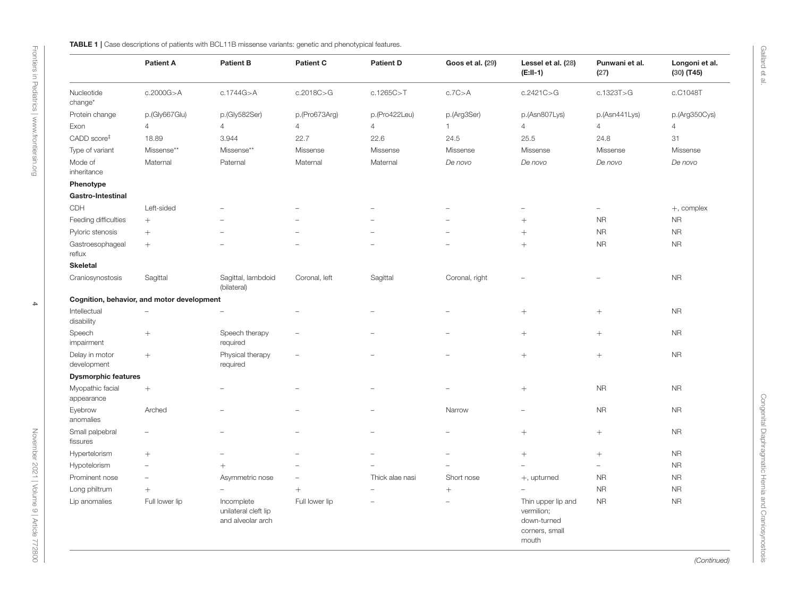|  |  | FABLE 1   Case descriptions of patients with BCL11B missense variants: genetic and phenotypical feature |  |  |  |  |
|--|--|---------------------------------------------------------------------------------------------------------|--|--|--|--|
|--|--|---------------------------------------------------------------------------------------------------------|--|--|--|--|

|                                | <b>Patient A</b>                           | <b>Patient B</b>                                        | <b>Patient C</b>         | <b>Patient D</b> | Goos et al. (29) | Lessel et al. (28)<br>$(E:II-1)$                                           | Punwani et al.<br>(27)   | Longoni et al.<br>$(30)$ (T45) |
|--------------------------------|--------------------------------------------|---------------------------------------------------------|--------------------------|------------------|------------------|----------------------------------------------------------------------------|--------------------------|--------------------------------|
| Nucleotide<br>change*          | c.2000G > A                                | c.1744G > A                                             | c.2018C > G              | c.1265C > T      | c.7C > A         | c.2421C > G                                                                | c.1323T>G                | c.C1048T                       |
| Protein change                 | p.(Gly667Glu)                              | p.(Gly582Ser)                                           | p.(Pro673Arg)            | p.(Pro422Leu)    | p.(Arg3Ser)      | p.(Asn807Lys)                                                              | p.(Asn441Lys)            | p.(Arg350Cys)                  |
| Exon                           | $\overline{4}$                             | $\overline{4}$                                          | $\overline{4}$           | $\overline{4}$   | $\mathbf{1}$     | $\overline{4}$                                                             | $\overline{4}$           | 4                              |
| CADD score <sup>#</sup>        | 18.89                                      | 3.944                                                   | 22.7                     | 22.6             | 24.5             | 25.5                                                                       | 24.8                     | 31                             |
| Type of variant                | Missense**                                 | Missense**                                              | Missense                 | Missense         | Missense         | Missense                                                                   | Missense                 | Missense                       |
| Mode of<br>inheritance         | Maternal                                   | Paternal                                                | Maternal                 | Maternal         | De novo          | De novo                                                                    | De novo                  | De novo                        |
| Phenotype                      |                                            |                                                         |                          |                  |                  |                                                                            |                          |                                |
| Gastro-Intestinal              |                                            |                                                         |                          |                  |                  |                                                                            |                          |                                |
| CDH                            | Left-sided                                 |                                                         |                          |                  |                  |                                                                            | $\overline{\phantom{0}}$ | $+$ , complex                  |
| Feeding difficulties           |                                            |                                                         |                          |                  |                  | $^{+}$                                                                     | <b>NR</b>                | <b>NR</b>                      |
| Pyloric stenosis               | $^{+}$                                     |                                                         |                          |                  |                  | $^{+}$                                                                     | <b>NR</b>                | <b>NR</b>                      |
| Gastroesophageal<br>reflux     | $+$                                        |                                                         |                          |                  |                  | $+$                                                                        | <b>NR</b>                | ${\sf NR}$                     |
| <b>Skeletal</b>                |                                            |                                                         |                          |                  |                  |                                                                            |                          |                                |
| Craniosynostosis               | Sagittal                                   | Sagittal, lambdoid<br>(bilateral)                       | Coronal, left            | Sagittal         | Coronal, right   |                                                                            |                          | <b>NR</b>                      |
|                                | Cognition, behavior, and motor development |                                                         |                          |                  |                  |                                                                            |                          |                                |
| Intellectual                   | L.                                         |                                                         |                          |                  |                  |                                                                            | $\! + \!$                | <b>NR</b>                      |
| disability                     |                                            |                                                         |                          |                  |                  |                                                                            |                          |                                |
| Speech<br>impairment           | $+$                                        | Speech therapy<br>required                              |                          |                  |                  | $^{+}$                                                                     | $^{+}$                   | <b>NR</b>                      |
| Delay in motor<br>development  | $+$                                        | Physical therapy<br>required                            | $\overline{\phantom{0}}$ |                  |                  | $^{+}$                                                                     | $^{+}$                   | <b>NR</b>                      |
| <b>Dysmorphic features</b>     |                                            |                                                         |                          |                  |                  |                                                                            |                          |                                |
| Myopathic facial<br>appearance | $+$                                        |                                                         |                          |                  |                  | $^{+}$                                                                     | <b>NR</b>                | <b>NR</b>                      |
| Eyebrow<br>anomalies           | Arched                                     |                                                         |                          |                  | Narrow           |                                                                            | <b>NR</b>                | <b>NR</b>                      |
| Small palpebral<br>fissures    | ÷,                                         |                                                         |                          |                  |                  |                                                                            | $\! + \!$                | <b>NR</b>                      |
| Hypertelorism                  | $^{+}$                                     |                                                         |                          |                  |                  |                                                                            | $\! + \!$                | <b>NR</b>                      |
| Hypotelorism                   | Ē,                                         | $^{+}$                                                  |                          |                  |                  | L.                                                                         | $\overline{\phantom{0}}$ | <b>NR</b>                      |
| Prominent nose                 | $\equiv$                                   | Asymmetric nose                                         |                          | Thick alae nasi  | Short nose       | +, upturned                                                                | <b>NR</b>                | <b>NR</b>                      |
| Long philtrum                  | $+$                                        |                                                         | $^{+}$                   |                  | $\! + \!\!\!\!$  | $\equiv$                                                                   | <b>NR</b>                | <b>NR</b>                      |
| Lip anomalies                  | Full lower lip                             | Incomplete<br>unilateral cleft lip<br>and alveolar arch | Full lower lip           |                  |                  | Thin upper lip and<br>vermilion;<br>down-turned<br>corners, small<br>mouth | <b>NR</b>                | <b>NR</b>                      |

<span id="page-3-0"></span>

Gaillard et al.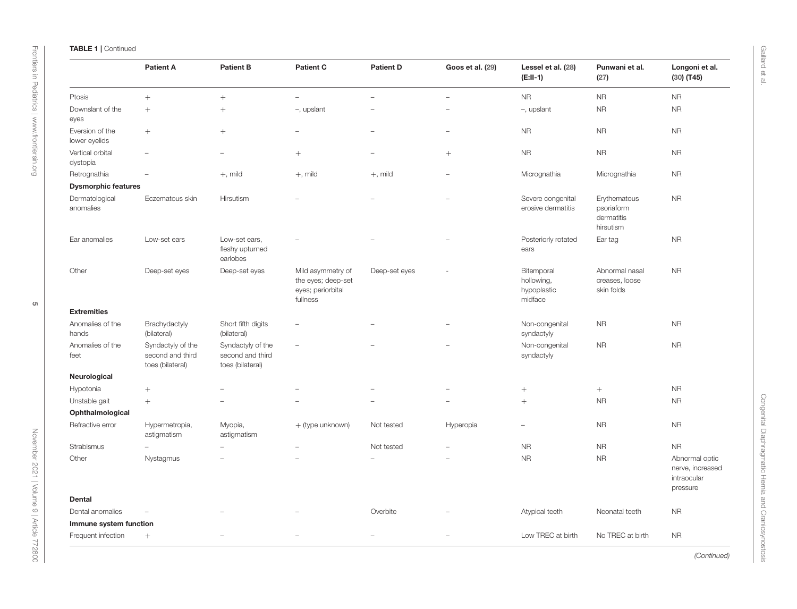|                                  | <b>Patient A</b>                                          | <b>Patient B</b>                                          | <b>Patient C</b>                                                         | <b>Patient D</b> | Goos et al. (29)         | Lessel et al. (28)<br>$(E:II-1)$                   | Punwani et al.<br>(27)                                | Longoni et al.<br>$(30)$ (T45)                                |
|----------------------------------|-----------------------------------------------------------|-----------------------------------------------------------|--------------------------------------------------------------------------|------------------|--------------------------|----------------------------------------------------|-------------------------------------------------------|---------------------------------------------------------------|
| Ptosis                           | $+$                                                       | $^{+}$                                                    | ٠                                                                        |                  |                          | <b>NR</b>                                          | <b>NR</b>                                             | <b>NR</b>                                                     |
| Downslant of the<br>eyes         | $^{+}$                                                    | $^{+}$                                                    | -, upslant                                                               |                  |                          | -, upslant                                         | <b>NR</b>                                             | <b>NR</b>                                                     |
| Eversion of the<br>lower eyelids | $+$                                                       | $^{+}$                                                    |                                                                          |                  | $\overline{\phantom{0}}$ | <b>NR</b>                                          | <b>NR</b>                                             | <b>NR</b>                                                     |
| Vertical orbital<br>dystopia     |                                                           |                                                           | $^{+}$                                                                   |                  | $^{+}$                   | <b>NR</b>                                          | <b>NR</b>                                             | <b>NR</b>                                                     |
| Retrognathia                     |                                                           | $+$ , mild                                                | $+$ , mild                                                               | $+$ , mild       |                          | Micrognathia                                       | Micrognathia                                          | <b>NR</b>                                                     |
| <b>Dysmorphic features</b>       |                                                           |                                                           |                                                                          |                  |                          |                                                    |                                                       |                                                               |
| Dermatological<br>anomalies      | Eczematous skin                                           | Hirsutism                                                 |                                                                          |                  |                          | Severe congenital<br>erosive dermatitis            | Erythematous<br>psoriaform<br>dermatitis<br>hirsutism | <b>NR</b>                                                     |
| Ear anomalies                    | Low-set ears                                              | Low-set ears,<br>fleshy upturned<br>earlobes              |                                                                          |                  |                          | Posteriorly rotated<br>ears                        | Ear tag                                               | <b>NR</b>                                                     |
| Other                            | Deep-set eyes                                             | Deep-set eyes                                             | Mild asymmetry of<br>the eyes; deep-set<br>eyes; periorbital<br>fullness | Deep-set eyes    |                          | Bitemporal<br>hollowing,<br>hypoplastic<br>midface | Abnormal nasal<br>creases, loose<br>skin folds        | <b>NR</b>                                                     |
| <b>Extremities</b>               |                                                           |                                                           |                                                                          |                  |                          |                                                    |                                                       |                                                               |
| Anomalies of the<br>hands        | Brachydactyly<br>(bilateral)                              | Short fifth digits<br>(bilateral)                         |                                                                          |                  |                          | Non-congenital<br>syndactyly                       | <b>NR</b>                                             | <b>NR</b>                                                     |
| Anomalies of the<br>feet         | Syndactyly of the<br>second and third<br>toes (bilateral) | Syndactyly of the<br>second and third<br>toes (bilateral) |                                                                          |                  |                          | Non-congenital<br>syndactyly                       | <b>NR</b>                                             | <b>NR</b>                                                     |
| Neurological                     |                                                           |                                                           |                                                                          |                  |                          |                                                    |                                                       |                                                               |
| Hypotonia                        | $+$                                                       |                                                           |                                                                          |                  |                          |                                                    | $^{+}$                                                | <b>NR</b>                                                     |
| Unstable gait                    | $^{+}$                                                    |                                                           |                                                                          |                  |                          | $^{+}$                                             | <b>NR</b>                                             | <b>NR</b>                                                     |
| Ophthalmological                 |                                                           |                                                           |                                                                          |                  |                          |                                                    |                                                       |                                                               |
| Refractive error                 | Hypermetropia,<br>astigmatism                             | Myopia,<br>astigmatism                                    | + (type unknown)                                                         | Not tested       | Hyperopia                | $\overline{\phantom{0}}$                           | <b>NR</b>                                             | <b>NR</b>                                                     |
| Strabismus                       |                                                           |                                                           |                                                                          | Not tested       |                          | <b>NR</b>                                          | <b>NR</b>                                             | <b>NR</b>                                                     |
| Other                            | Nystagmus                                                 |                                                           |                                                                          |                  |                          | <b>NR</b>                                          | <b>NR</b>                                             | Abnormal optic<br>nerve, increased<br>intraocular<br>pressure |
| <b>Dental</b>                    |                                                           |                                                           |                                                                          |                  |                          |                                                    |                                                       |                                                               |
| Dental anomalies                 | $\overline{\phantom{a}}$                                  |                                                           |                                                                          | Overbite         |                          | Atypical teeth                                     | Neonatal teeth                                        | <b>NR</b>                                                     |
| Immune system function           |                                                           |                                                           |                                                                          |                  |                          |                                                    |                                                       |                                                               |
| Frequent infection               | $+$                                                       |                                                           |                                                                          |                  |                          | Low TREC at birth                                  | No TREC at birth                                      | <b>NR</b>                                                     |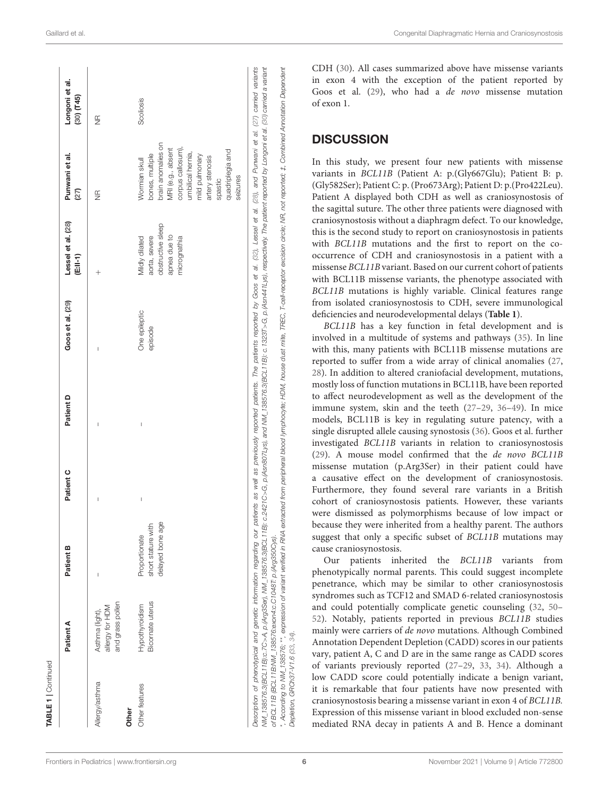| I<br>delayed bone age<br>short stature with<br>Proportionate<br>$\mathbf{I}$<br>and grass pollen<br>Bicornate uterus<br>Hypothyroidism<br>allergy for HDM<br>Asthma (light),<br>Allergy/asthma<br>Other features<br>Other | I            | Goos et al. (29) | Lessel et al. (28)<br>(E:II-1)                                                       | Punwani et al.<br>27)                                                                                                                                                                                 | Longoni et al.<br>$(30)$ $(T45)$ |
|---------------------------------------------------------------------------------------------------------------------------------------------------------------------------------------------------------------------------|--------------|------------------|--------------------------------------------------------------------------------------|-------------------------------------------------------------------------------------------------------------------------------------------------------------------------------------------------------|----------------------------------|
|                                                                                                                                                                                                                           |              | $^{+}$           |                                                                                      | $\widetilde{\Xi}$                                                                                                                                                                                     | $\frac{\alpha}{2}$               |
|                                                                                                                                                                                                                           | episode<br>Ï | One epileptic    | obstructive sleep<br>apnea due to<br>aorta, severe<br>micrognathia<br>Mildly dilated | brain anomalies on<br>corpus callosum),<br>MRI (e.g., absent<br>quadriplegia and<br>umbilical hernia,<br>bones, multiple<br>mild pulmonary<br>artery stenosis<br>Wormian skull<br>seizures<br>spastic | Scoliosis                        |

CDH [\(30\)](#page-11-0). All cases summarized above have missense variants in exon 4 with the exception of the patient reported by Goos et al. [\(29\)](#page-10-13), who had a de novo missense mutation of exon 1.

#### **DISCUSSION**

In this study, we present four new patients with missense variants in BCL11B (Patient A: p.(Gly667Glu); Patient B: p. (Gly582Ser); Patient C: p. (Pro673Arg); Patient D: p.(Pro422Leu). Patient A displayed both CDH as well as craniosynostosis of the sagittal suture. The other three patients were diagnosed with craniosynostosis without a diaphragm defect. To our knowledge, this is the second study to report on craniosynostosis in patients with BCL11B mutations and the first to report on the cooccurrence of CDH and craniosynostosis in a patient with a missense BCL11B variant. Based on our current cohort of patients with BCL11B missense variants, the phenotype associated with BCL11B mutations is highly variable. Clinical features range from isolated craniosynostosis to CDH, severe immunological deficiencies and neurodevelopmental delays (**[Table 1](#page-3-0)**).

BCL11B has a key function in fetal development and is involved in a multitude of systems and pathways [\(35\)](#page-11-6). In line with this, many patients with BCL11B missense mutations are reported to suffer from a wide array of clinical anomalies [\(27,](#page-10-11) [28\)](#page-10-12). In addition to altered craniofacial development, mutations, mostly loss of function mutations in BCL11B, have been reported to affect neurodevelopment as well as the development of the immune system, skin and the teeth [\(27–](#page-10-11)[29,](#page-10-13) [36](#page-11-7)[–49\)](#page-11-8). In mice models, BCL11B is key in regulating suture patency, with a single disrupted allele causing synostosis [\(36\)](#page-11-7). Goos et al. further investigated BCL11B variants in relation to craniosynostosis [\(29\)](#page-10-13). A mouse model confirmed that the de novo BCL11B missense mutation (p.Arg3Ser) in their patient could have a causative effect on the development of craniosynostosis. Furthermore, they found several rare variants in a British cohort of craniosynostosis patients. However, these variants were dismissed as polymorphisms because of low impact or because they were inherited from a healthy parent. The authors suggest that only a specific subset of BCL11B mutations may cause craniosynostosis.

Our patients inherited the BCL11B variants from phenotypically normal parents. This could suggest incomplete penetrance, which may be similar to other craniosynostosis syndromes such as TCF12 and SMAD 6-related craniosynostosis and could potentially complicate genetic counseling [\(32,](#page-11-3) [50–](#page-11-9) [52\)](#page-11-10). Notably, patients reported in previous BCL11B studies mainly were carriers of de novo mutations. Although Combined Annotation Dependent Depletion (CADD) scores in our patients vary, patient A, C and D are in the same range as CADD scores of variants previously reported [\(27–](#page-10-11)[29,](#page-10-13) [33,](#page-11-4) [34\)](#page-11-5). Although a low CADD score could potentially indicate a benign variant, it is remarkable that four patients have now presented with craniosynostosis bearing a missense variant in exon 4 of BCL11B. Expression of this missense variant in blood excluded non-sense mediated RNA decay in patients A and B. Hence a dominant

*Depletion, GRCh37-V1.6 [\(33,](#page-11-4) [34\)](#page-11-5).*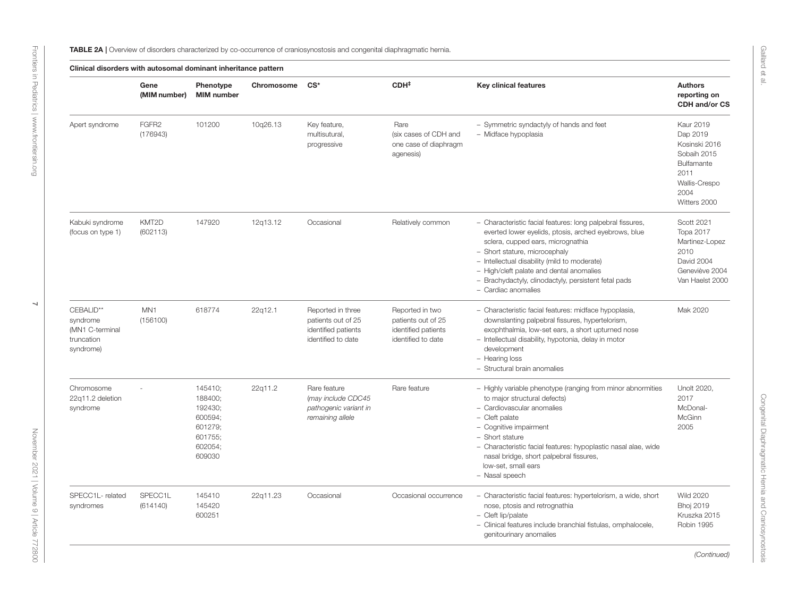<span id="page-6-0"></span>

|                                                                     | Gene<br>(MIM number)          | Phenotype<br><b>MIM</b> number                                                      | Chromosome | $CS^*$                                                                               | CDH <sup>‡</sup>                                                                   | <b>Key clinical features</b>                                                                                                                                                                                                                                                                                                                                        | <b>Authors</b><br>reporting on<br>CDH and/or CS                                                                             |
|---------------------------------------------------------------------|-------------------------------|-------------------------------------------------------------------------------------|------------|--------------------------------------------------------------------------------------|------------------------------------------------------------------------------------|---------------------------------------------------------------------------------------------------------------------------------------------------------------------------------------------------------------------------------------------------------------------------------------------------------------------------------------------------------------------|-----------------------------------------------------------------------------------------------------------------------------|
| Apert syndrome                                                      | FGFR <sub>2</sub><br>(176943) | 101200                                                                              | 10q26.13   | Key feature,<br>multisutural,<br>progressive                                         | Rare<br>(six cases of CDH and<br>one case of diaphragm<br>agenesis)                | - Symmetric syndactyly of hands and feet<br>- Midface hypoplasia                                                                                                                                                                                                                                                                                                    | <b>Kaur 2019</b><br>Dap 2019<br>Kosinski 2016<br>Sobaih 2015<br>Bulfamante<br>2011<br>Wallis-Crespo<br>2004<br>Witters 2000 |
| Kabuki syndrome<br>(focus on type 1)                                | KMT2D<br>(602113)             | 147920                                                                              | 12q13.12   | Occasional                                                                           | Relatively common                                                                  | - Characteristic facial features: long palpebral fissures,<br>everted lower eyelids, ptosis, arched eyebrows, blue<br>sclera, cupped ears, micrognathia<br>- Short stature, microcephaly<br>- Intellectual disability (mild to moderate)<br>- High/cleft palate and dental anomalies<br>- Brachydactyly, clinodactyly, persistent fetal pads<br>- Cardiac anomalies | Scott 2021<br><b>Topa 2017</b><br>Martinez-Lopez<br>2010<br>David 2004<br>Geneviève 2004<br>Van Haelst 2000                 |
| CEBALID**<br>syndrome<br>(MN1 C-terminal<br>truncation<br>syndrome) | MN <sub>1</sub><br>(156100)   | 618774                                                                              | 22q12.1    | Reported in three<br>patients out of 25<br>identified patients<br>identified to date | Reported in two<br>patients out of 25<br>identified patients<br>identified to date | - Characteristic facial features: midface hypoplasia,<br>downslanting palpebral fissures, hypertelorism,<br>exophthalmia, low-set ears, a short upturned nose<br>- Intellectual disability, hypotonia, delay in motor<br>development<br>- Hearing loss<br>- Structural brain anomalies                                                                              | Mak 2020                                                                                                                    |
| Chromosome<br>22q11.2 deletion<br>syndrome                          |                               | 145410:<br>188400;<br>192430;<br>600594;<br>601279;<br>601755;<br>602054;<br>609030 | 22q11.2    | Rare feature<br>(may include CDC45<br>pathogenic variant in<br>remaining allele      | Rare feature                                                                       | - Highly variable phenotype (ranging from minor abnormities<br>to major structural defects)<br>- Cardiovascular anomalies<br>- Cleft palate<br>- Cognitive impairment<br>- Short stature<br>- Characteristic facial features: hypoplastic nasal alae, wide<br>nasal bridge, short palpebral fissures,<br>low-set, small ears<br>- Nasal speech                      | Unolt 2020.<br>2017<br>McDonal-<br>McGinn<br>2005                                                                           |
| SPECC1L-related<br>syndromes                                        | SPECC1L<br>(614140)           | 145410<br>145420<br>600251                                                          | 22q11.23   | Occasional                                                                           | Occasional occurrence                                                              | - Characteristic facial features: hypertelorism, a wide, short<br>nose, ptosis and retrognathia<br>- Cleft lip/palate<br>- Clinical features include branchial fistulas, omphalocele,<br>genitourinary anomalies                                                                                                                                                    | <b>Wild 2020</b><br><b>Bhoj 2019</b><br>Kruszka 2015<br>Robin 1995                                                          |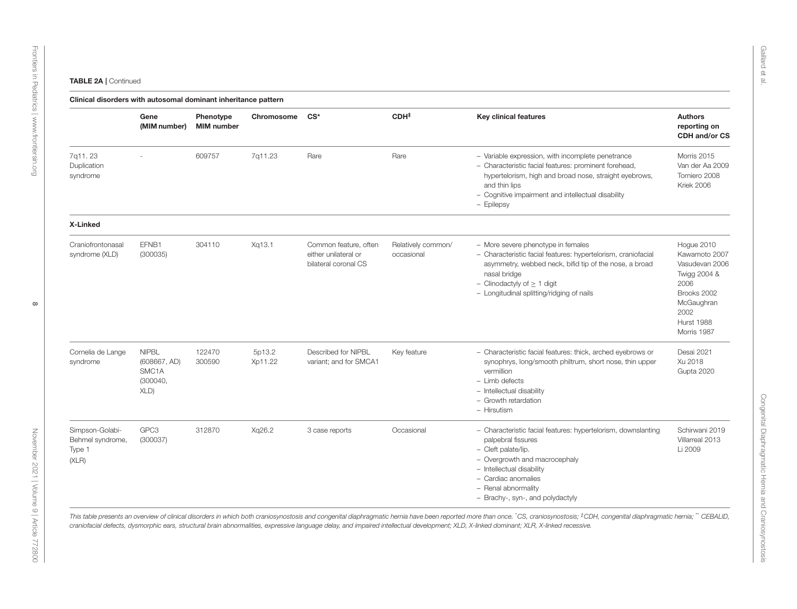| <b>TABLE 2A   Continue</b> |  |
|----------------------------|--|
|----------------------------|--|

|                                                        | Gene<br>(MIM number)                                                  | Phenotype<br><b>MIM</b> number | Chromosome        | $CS^*$                                                                | CDH <sup>‡</sup>                 | <b>Key clinical features</b>                                                                                                                                                                                                                                   | <b>Authors</b><br>reporting on<br>CDH and/or CS                                                                                         |
|--------------------------------------------------------|-----------------------------------------------------------------------|--------------------------------|-------------------|-----------------------------------------------------------------------|----------------------------------|----------------------------------------------------------------------------------------------------------------------------------------------------------------------------------------------------------------------------------------------------------------|-----------------------------------------------------------------------------------------------------------------------------------------|
| 7q11.23<br>Duplication<br>syndrome                     |                                                                       | 609757                         | 7q11.23           | Rare                                                                  | Rare                             | - Variable expression, with incomplete penetrance<br>- Characteristic facial features: prominent forehead,<br>hypertelorism, high and broad nose, straight eyebrows,<br>and thin lips<br>- Cognitive impairment and intellectual disability<br>- Epilepsy      | Morris 2015<br>Van der Aa 2009<br>Torniero 2008<br>Kriek 2006                                                                           |
| X-Linked                                               |                                                                       |                                |                   |                                                                       |                                  |                                                                                                                                                                                                                                                                |                                                                                                                                         |
| Craniofrontonasal<br>syndrome (XLD)                    | EFNB1<br>(300035)                                                     | 304110                         | Xq13.1            | Common feature, often<br>either unilateral or<br>bilateral coronal CS | Relatively common/<br>occasional | - More severe phenotype in females<br>- Characteristic facial features: hypertelorism, craniofacial<br>asymmetry, webbed neck, bifid tip of the nose, a broad<br>nasal bridge<br>- Clinodactyly of $\geq 1$ digit<br>- Longitudinal splitting/ridging of nails | Hogue 2010<br>Kawamoto 2007<br>Vasudevan 2006<br>Twigg 2004 &<br>2006<br>Brooks 2002<br>McGaughran<br>2002<br>Hurst 1988<br>Morris 1987 |
| Cornelia de Lange<br>syndrome                          | <b>NIPBL</b><br>(608667, AD)<br>SMC <sub>1</sub> A<br>(300040,<br>XLD | 122470<br>300590               | 5p13.2<br>Xp11.22 | Described for NIPBL<br>variant; and for SMCA1                         | Key feature                      | - Characteristic facial features: thick, arched eyebrows or<br>synophrys, long/smooth philtrum, short nose, thin upper<br>vermillion<br>$-$ Limb defects<br>- Intellectual disability<br>- Growth retardation<br>- Hirsutism                                   | Desai 2021<br>Xu 2018<br>Gupta 2020                                                                                                     |
| Simpson-Golabi-<br>Behmel syndrome,<br>Type 1<br>(XLR) | GPC3<br>(300037)                                                      | 312870                         | Xg26.2            | 3 case reports                                                        | Occasional                       | - Characteristic facial features: hypertelorism, downslanting<br>palpebral fissures<br>- Cleft palate/lip.<br>- Overgrowth and macrocephaly<br>- Intellectual disability<br>- Cardiac anomalies<br>- Renal abnormality<br>- Brachy-, syn-, and polydactyly     | Schirwani 2019<br>Villarreal 2013<br>Li 2009                                                                                            |

Gaillard et al.

[November 2021 | Volume 9 | Article 772800](https://www.frontiersin.org/journals/pediatrics#articles)

November 2021 | Volume 9 | Article 772800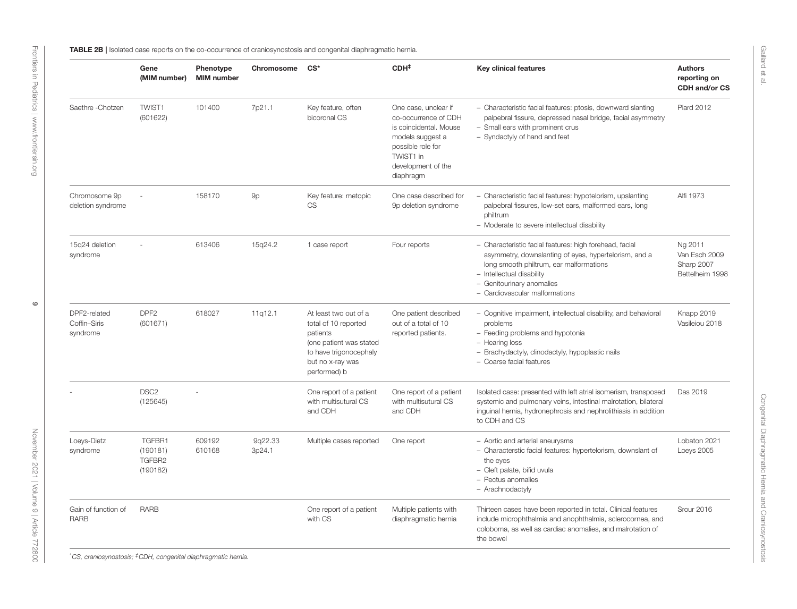|                                          | Gene<br>(MIM number)                     | Phenotype<br><b>MIM</b> number | Chromosome CS*    |                                                                                                                                                    | CDH <sup>‡</sup>                                                                                                                                                | <b>Key clinical features</b>                                                                                                                                                                                                                            | <b>Authors</b><br>reporting on<br>CDH and/or CS           |
|------------------------------------------|------------------------------------------|--------------------------------|-------------------|----------------------------------------------------------------------------------------------------------------------------------------------------|-----------------------------------------------------------------------------------------------------------------------------------------------------------------|---------------------------------------------------------------------------------------------------------------------------------------------------------------------------------------------------------------------------------------------------------|-----------------------------------------------------------|
| Saethre - Chotzen                        | TWIST1<br>(601622)                       | 101400                         | 7p21.1            | Key feature, often<br>bicoronal CS                                                                                                                 | One case, unclear if<br>co-occurrence of CDH<br>is coincidental. Mouse<br>models suggest a<br>possible role for<br>TWIST1 in<br>development of the<br>diaphragm | - Characteristic facial features: ptosis, downward slanting<br>palpebral fissure, depressed nasal bridge, facial asymmetry<br>- Small ears with prominent crus<br>- Syndactyly of hand and feet                                                         | <b>Piard 2012</b>                                         |
| Chromosome 9p<br>deletion syndrome       |                                          | 158170                         | 9p                | Key feature: metopic<br><b>CS</b>                                                                                                                  | One case described for<br>9p deletion syndrome                                                                                                                  | - Characteristic facial features: hypotelorism, upslanting<br>palpebral fissures, low-set ears, malformed ears, long<br>philtrum<br>- Moderate to severe intellectual disability                                                                        | Alfi 1973                                                 |
| 15q24 deletion<br>syndrome               |                                          | 613406                         | 15q24.2           | 1 case report                                                                                                                                      | Four reports                                                                                                                                                    | - Characteristic facial features: high forehead, facial<br>asymmetry, downslanting of eyes, hypertelorism, and a<br>long smooth philtrum, ear malformations<br>- Intellectual disability<br>- Genitourinary anomalies<br>- Cardiovascular malformations | Ng 2011<br>Van Esch 2009<br>Sharp 2007<br>Bettelheim 1998 |
| DPF2-related<br>Coffin-Siris<br>syndrome | DPF <sub>2</sub><br>(601671)             | 618027                         | 11q12.1           | At least two out of a<br>total of 10 reported<br>patients<br>(one patient was stated<br>to have trigonocephaly<br>but no x-ray was<br>performed) b | One patient described<br>out of a total of 10<br>reported patients.                                                                                             | - Cognitive impairment, intellectual disability, and behavioral<br>problems<br>- Feeding problems and hypotonia<br>- Hearing loss<br>- Brachydactyly, clinodactyly, hypoplastic nails<br>- Coarse facial features                                       | Knapp 2019<br>Vasileiou 2018                              |
|                                          | DSC <sub>2</sub><br>(125645)             |                                |                   | One report of a patient<br>with multisutural CS<br>and CDH                                                                                         | One report of a patient<br>with multisutural CS<br>and CDH                                                                                                      | Isolated case: presented with left atrial isomerism, transposed<br>systemic and pulmonary veins, intestinal malrotation, bilateral<br>inguinal hernia, hydronephrosis and nephrolithiasis in addition<br>to CDH and CS                                  | Das 2019                                                  |
| Loeys-Dietz<br>syndrome                  | TGFBR1<br>(190181)<br>TGFBR2<br>(190182) | 609192<br>610168               | 9q22.33<br>3p24.1 | Multiple cases reported                                                                                                                            | One report                                                                                                                                                      | - Aortic and arterial aneurysms<br>- Characterstic facial features: hypertelorism, downslant of<br>the eyes<br>- Cleft palate, bifid uvula<br>- Pectus anomalies<br>- Arachnodactyly                                                                    | Lobaton 2021<br>Loeys 2005                                |
| Gain of function of<br><b>RARB</b>       | <b>RARB</b>                              |                                |                   | One report of a patient<br>with CS                                                                                                                 | Multiple patients with<br>diaphragmatic hernia                                                                                                                  | Thirteen cases have been reported in total. Clinical features<br>include microphthalmia and anophthalmia, sclerocornea, and<br>coloboma, as well as cardiac anomalies, and malrotation of<br>the bowel                                                  | Srour 2016                                                |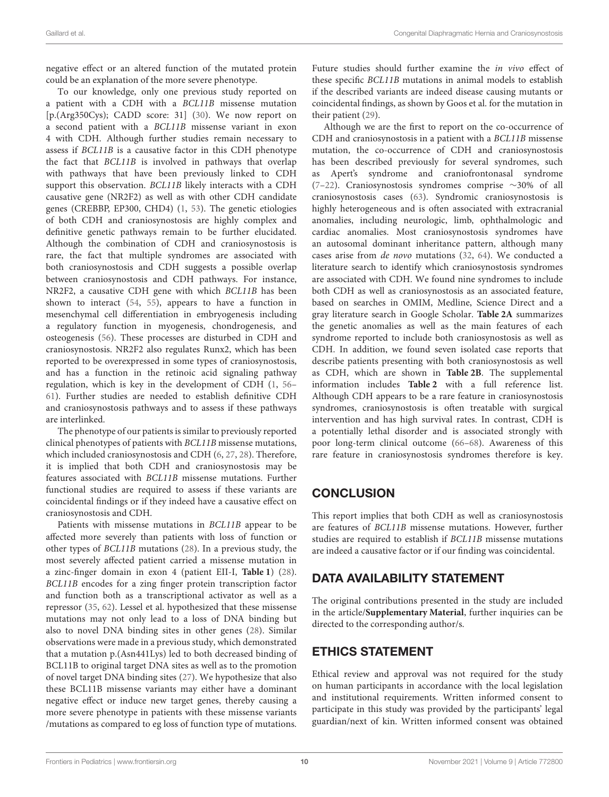negative effect or an altered function of the mutated protein could be an explanation of the more severe phenotype.

To our knowledge, only one previous study reported on a patient with a CDH with a BCL11B missense mutation [p.(Arg350Cys); CADD score: 31] [\(30\)](#page-11-0). We now report on a second patient with a BCL11B missense variant in exon 4 with CDH. Although further studies remain necessary to assess if BCL11B is a causative factor in this CDH phenotype the fact that BCL11B is involved in pathways that overlap with pathways that have been previously linked to CDH support this observation. BCL11B likely interacts with a CDH causative gene (NR2F2) as well as with other CDH candidate genes (CREBBP, EP300, CHD4) [\(1,](#page-10-0) [53\)](#page-11-11). The genetic etiologies of both CDH and craniosynostosis are highly complex and definitive genetic pathways remain to be further elucidated. Although the combination of CDH and craniosynostosis is rare, the fact that multiple syndromes are associated with both craniosynostosis and CDH suggests a possible overlap between craniosynostosis and CDH pathways. For instance, NR2F2, a causative CDH gene with which BCL11B has been shown to interact [\(54,](#page-11-12) [55\)](#page-11-13), appears to have a function in mesenchymal cell differentiation in embryogenesis including a regulatory function in myogenesis, chondrogenesis, and osteogenesis [\(56\)](#page-11-14). These processes are disturbed in CDH and craniosynostosis. NR2F2 also regulates Runx2, which has been reported to be overexpressed in some types of craniosynostosis, and has a function in the retinoic acid signaling pathway regulation, which is key in the development of CDH [\(1,](#page-10-0) [56–](#page-11-14) [61\)](#page-11-15). Further studies are needed to establish definitive CDH and craniosynostosis pathways and to assess if these pathways are interlinked.

The phenotype of our patients is similar to previously reported clinical phenotypes of patients with BCL11B missense mutations, which included craniosynostosis and CDH [\(6,](#page-10-4) [27,](#page-10-11) [28\)](#page-10-12). Therefore, it is implied that both CDH and craniosynostosis may be features associated with BCL11B missense mutations. Further functional studies are required to assess if these variants are coincidental findings or if they indeed have a causative effect on craniosynostosis and CDH.

Patients with missense mutations in BCL11B appear to be affected more severely than patients with loss of function or other types of BCL11B mutations [\(28\)](#page-10-12). In a previous study, the most severely affected patient carried a missense mutation in a zinc-finger domain in exon 4 (patient EII-I, **[Table 1](#page-3-0)**) [\(28\)](#page-10-12). BCL11B encodes for a zing finger protein transcription factor and function both as a transcriptional activator as well as a repressor [\(35,](#page-11-6) [62\)](#page-11-16). Lessel et al. hypothesized that these missense mutations may not only lead to a loss of DNA binding but also to novel DNA binding sites in other genes [\(28\)](#page-10-12). Similar observations were made in a previous study, which demonstrated that a mutation p.(Asn441Lys) led to both decreased binding of BCL11B to original target DNA sites as well as to the promotion of novel target DNA binding sites [\(27\)](#page-10-11). We hypothesize that also these BCL11B missense variants may either have a dominant negative effect or induce new target genes, thereby causing a more severe phenotype in patients with these missense variants /mutations as compared to eg loss of function type of mutations.

Future studies should further examine the in vivo effect of these specific BCL11B mutations in animal models to establish if the described variants are indeed disease causing mutants or coincidental findings, as shown by Goos et al. for the mutation in their patient [\(29\)](#page-10-13).

Although we are the first to report on the co-occurrence of CDH and craniosynostosis in a patient with a BCL11B missense mutation, the co-occurrence of CDH and craniosynostosis has been described previously for several syndromes, such as Apert's syndrome and craniofrontonasal syndrome [\(7–](#page-10-5)[22\)](#page-10-6). Craniosynostosis syndromes comprise ∼30% of all craniosynostosis cases [\(63\)](#page-11-17). Syndromic craniosynostosis is highly heterogeneous and is often associated with extracranial anomalies, including neurologic, limb, ophthalmologic and cardiac anomalies. Most craniosynostosis syndromes have an autosomal dominant inheritance pattern, although many cases arise from de novo mutations [\(32,](#page-11-3) [64\)](#page-11-18). We conducted a literature search to identify which craniosynostosis syndromes are associated with CDH. We found nine syndromes to include both CDH as well as craniosynostosis as an associated feature, based on searches in OMIM, Medline, Science Direct and a gray literature search in Google Scholar. **[Table 2A](#page-6-0)** summarizes the genetic anomalies as well as the main features of each syndrome reported to include both craniosynostosis as well as CDH. In addition, we found seven isolated case reports that describe patients presenting with both craniosynostosis as well as CDH, which are shown in **[Table 2B](#page-6-0)**. The supplemental information includes **[Table 2](#page-6-0)** with a full reference list. Although CDH appears to be a rare feature in craniosynostosis syndromes, craniosynostosis is often treatable with surgical intervention and has high survival rates. In contrast, CDH is a potentially lethal disorder and is associated strongly with poor long-term clinical outcome [\(66–](#page-12-0)[68\)](#page-12-1). Awareness of this rare feature in craniosynostosis syndromes therefore is key.

# **CONCLUSION**

This report implies that both CDH as well as craniosynostosis are features of BCL11B missense mutations. However, further studies are required to establish if BCL11B missense mutations are indeed a causative factor or if our finding was coincidental.

## DATA AVAILABILITY STATEMENT

The original contributions presented in the study are included in the article/**[Supplementary Material](#page-10-17)**, further inquiries can be directed to the corresponding author/s.

# ETHICS STATEMENT

Ethical review and approval was not required for the study on human participants in accordance with the local legislation and institutional requirements. Written informed consent to participate in this study was provided by the participants' legal guardian/next of kin. Written informed consent was obtained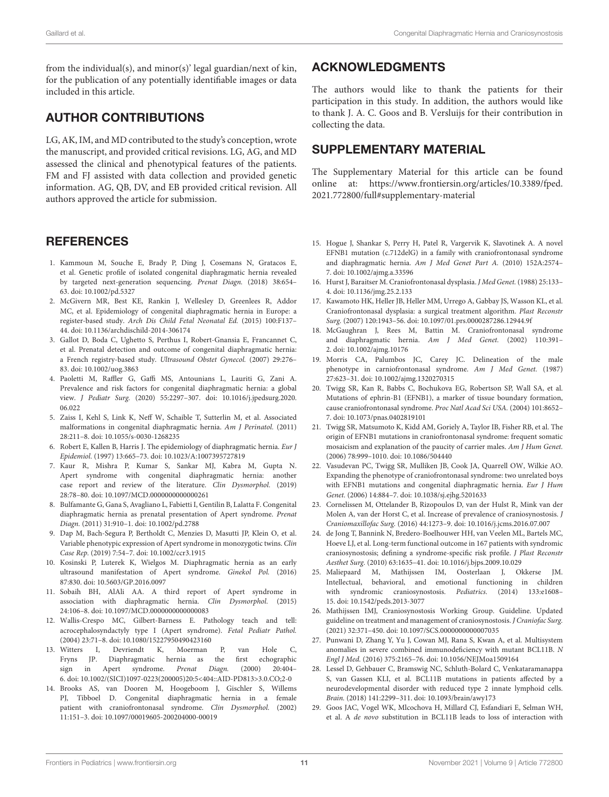from the individual(s), and minor(s)' legal guardian/next of kin, for the publication of any potentially identifiable images or data included in this article.

### AUTHOR CONTRIBUTIONS

LG, AK, IM, and MD contributed to the study's conception, wrote the manuscript, and provided critical revisions. LG, AG, and MD assessed the clinical and phenotypical features of the patients. FM and FJ assisted with data collection and provided genetic information. AG, QB, DV, and EB provided critical revision. All authors approved the article for submission.

#### **REFERENCES**

- <span id="page-10-0"></span>1. Kammoun M, Souche E, Brady P, Ding J, Cosemans N, Gratacos E, et al. Genetic profile of isolated congenital diaphragmatic hernia revealed by targeted next-generation sequencing. Prenat Diagn. (2018) 38:654– 63. doi: [10.1002/pd.5327](https://doi.org/10.1002/pd.5327)
- <span id="page-10-16"></span><span id="page-10-15"></span><span id="page-10-14"></span><span id="page-10-1"></span>2. McGivern MR, Best KE, Rankin J, Wellesley D, Greenlees R, Addor MC, et al. Epidemiology of congenital diaphragmatic hernia in Europe: a register-based study. Arch Dis Child Fetal Neonatal Ed. (2015) 100:F137– 44. doi: [10.1136/archdischild-2014-306174](https://doi.org/10.1136/archdischild-2014-306174)
- 3. Gallot D, Boda C, Ughetto S, Perthus I, Robert-Gnansia E, Francannet C, et al. Prenatal detection and outcome of congenital diaphragmatic hernia: a French registry-based study. Ultrasound Obstet Gynecol. (2007) 29:276– 83. doi: [10.1002/uog.3863](https://doi.org/10.1002/uog.3863)
- <span id="page-10-2"></span>4. Paoletti M, Raffler G, Gaffi MS, Antounians L, Lauriti G, Zani A. Prevalence and risk factors for congenital diaphragmatic hernia: a global view. J Pediatr Surg. [\(2020\) 55:2297–307. doi: 10.1016/j.jpedsurg.2020.](https://doi.org/10.1016/j.jpedsurg.2020.06.022) 06.022
- <span id="page-10-3"></span>5. Zaiss I, Kehl S, Link K, Neff W, Schaible T, Sutterlin M, et al. Associated malformations in congenital diaphragmatic hernia. Am J Perinatol. (2011) 28:211–8. doi: [10.1055/s-0030-1268235](https://doi.org/10.1055/s-0030-1268235)
- <span id="page-10-4"></span>6. Robert E, Kallen B, Harris J. The epidemiology of diaphragmatic hernia. Eur J Epidemiol. (1997) 13:665–73. doi: [10.1023/A:1007395727819](https://doi.org/10.1023/A:1007395727819)
- <span id="page-10-5"></span>7. Kaur R, Mishra P, Kumar S, Sankar MJ, Kabra M, Gupta N. Apert syndrome with congenital diaphragmatic hernia: another case report and review of the literature. Clin Dysmorphol. (2019) 28:78–80. doi: [10.1097/MCD.0000000000000261](https://doi.org/10.1097/MCD.0000000000000261)
- 8. Bulfamante G, Gana S, Avagliano L, Fabietti I, Gentilin B, Lalatta F. Congenital diaphragmatic hernia as prenatal presentation of Apert syndrome. Prenat Diagn. (2011) 31:910–1. doi: [10.1002/pd.2788](https://doi.org/10.1002/pd.2788)
- 9. Dap M, Bach-Segura P, Bertholdt C, Menzies D, Masutti JP, Klein O, et al. Variable phenotypic expression of Apert syndrome in monozygotic twins. Clin Case Rep. (2019) 7:54–7. doi: [10.1002/ccr3.1915](https://doi.org/10.1002/ccr3.1915)
- 10. Kosinski P, Luterek K, Wielgos M. Diaphragmatic hernia as an early ultrasound manifestation of Apert syndrome. Ginekol Pol. (2016) 87:830. doi: [10.5603/GP.2016.0097](https://doi.org/10.5603/GP.2016.0097)
- 11. Sobaih BH, AlAli AA. A third report of Apert syndrome in association with diaphragmatic hernia. Clin Dysmorphol. (2015) 24:106–8. doi: [10.1097/MCD.0000000000000083](https://doi.org/10.1097/MCD.0000000000000083)
- 12. Wallis-Crespo MC, Gilbert-Barness E. Pathology teach and tell: acrocephalosyndactyly type I (Apert syndrome). Fetal Pediatr Pathol. (2004) 23:71–8. doi: [10.1080/15227950490423160](https://doi.org/10.1080/15227950490423160)
- 13. Witters I, Devriendt K, Moerman P, van Hole C, Fryns JP. Diaphragmatic hernia as the first echographic sign in Apert syndrome. Prenat Diagn. (2000) 20:404– 6. doi: [10.1002/\(SICI\)1097-0223\(200005\)20:5<404::AID-PD813>3.0.CO;2-0](https://doi.org/10.1002/(SICI)1097-0223(200005)20:5<404::AID-PD813>3.0.CO;2-0)
- 14. Brooks AS, van Dooren M, Hoogeboom J, Gischler S, Willems PJ, Tibboel D. Congenital diaphragmatic hernia in a female patient with craniofrontonasal syndrome. Clin Dysmorphol. (2002) 11:151–3. doi: [10.1097/00019605-200204000-00019](https://doi.org/10.1097/00019605-200204000-00019)

#### ACKNOWLEDGMENTS

The authors would like to thank the patients for their participation in this study. In addition, the authors would like to thank J. A. C. Goos and B. Versluijs for their contribution in collecting the data.

#### SUPPLEMENTARY MATERIAL

<span id="page-10-17"></span>The Supplementary Material for this article can be found [online at: https://www.frontiersin.org/articles/10.3389/fped.](https://www.frontiersin.org/articles/10.3389/fped.2021.772800/full#supplementary-material) 2021.772800/full#supplementary-material

- 15. Hogue J, Shankar S, Perry H, Patel R, Vargervik K, Slavotinek A. A novel EFNB1 mutation (c.712delG) in a family with craniofrontonasal syndrome and diaphragmatic hernia. Am J Med Genet Part A. (2010) 152A:2574– 7. doi: [10.1002/ajmg.a.33596](https://doi.org/10.1002/ajmg.a.33596)
- 16. Hurst J, Baraitser M. Craniofrontonasal dysplasia. J Med Genet. (1988) 25:133– 4. doi: [10.1136/jmg.25.2.133](https://doi.org/10.1136/jmg.25.2.133)
- 17. Kawamoto HK, Heller JB, Heller MM, Urrego A, Gabbay JS, Wasson KL, et al. Craniofrontonasal dysplasia: a surgical treatment algorithm. Plast Reconstr Surg. (2007) 120:1943–56. doi: [10.1097/01.prs.0000287286.12944.9f](https://doi.org/10.1097/01.prs.0000287286.12944.9f)
- 18. McGaughran J, Rees M, Battin M. Craniofrontonasal syndrome and diaphragmatic hernia. Am J Med Genet. (2002) 110:391– 2. doi: [10.1002/ajmg.10176](https://doi.org/10.1002/ajmg.10176)
- 19. Morris CA, Palumbos JC, Carey JC. Delineation of the male phenotype in carniofrontonasal syndrome. Am J Med Genet. (1987) 27:623–31. doi: [10.1002/ajmg.1320270315](https://doi.org/10.1002/ajmg.1320270315)
- 20. Twigg SR, Kan R, Babbs C, Bochukova EG, Robertson SP, Wall SA, et al. Mutations of ephrin-B1 (EFNB1), a marker of tissue boundary formation, cause craniofrontonasal syndrome. Proc Natl Acad Sci USA. (2004) 101:8652– 7. doi: [10.1073/pnas.0402819101](https://doi.org/10.1073/pnas.0402819101)
- 21. Twigg SR, Matsumoto K, Kidd AM, Goriely A, Taylor IB, Fisher RB, et al. The origin of EFNB1 mutations in craniofrontonasal syndrome: frequent somatic mosaicism and explanation of the paucity of carrier males. Am J Hum Genet. (2006) 78:999–1010. doi: [10.1086/504440](https://doi.org/10.1086/504440)
- <span id="page-10-6"></span>22. Vasudevan PC, Twigg SR, Mulliken JB, Cook JA, Quarrell OW, Wilkie AO. Expanding the phenotype of craniofrontonasal syndrome: two unrelated boys with EFNB1 mutations and congenital diaphragmatic hernia. Eur J Hum Genet. (2006) 14:884–7. doi: [10.1038/sj.ejhg.5201633](https://doi.org/10.1038/sj.ejhg.5201633)
- <span id="page-10-7"></span>23. Cornelissen M, Ottelander B, Rizopoulos D, van der Hulst R, Mink van der Molen A, van der Horst C, et al. Increase of prevalence of craniosynostosis. J Craniomaxillofac Surg. (2016) 44:1273–9. doi: [10.1016/j.jcms.2016.07.007](https://doi.org/10.1016/j.jcms.2016.07.007)
- <span id="page-10-8"></span>24. de Jong T, Bannink N, Bredero-Boelhouwer HH, van Veelen ML, Bartels MC, Hoeve LJ, et al. Long-term functional outcome in 167 patients with syndromic craniosynostosis; defining a syndrome-specific risk profile. J Plast Reconstr Aesthet Surg. (2010) 63:1635–41. doi: [10.1016/j.bjps.2009.10.029](https://doi.org/10.1016/j.bjps.2009.10.029)
- <span id="page-10-9"></span>25. Maliepaard M, Mathijssen IM, Oosterlaan J, Okkerse JM. Intellectual, behavioral, and emotional functioning in children with syndromic craniosynostosis. Pediatrics. (2014) 133:e1608– 15. doi: [10.1542/peds.2013-3077](https://doi.org/10.1542/peds.2013-3077)
- <span id="page-10-10"></span>26. Mathijssen IMJ, Craniosynostosis Working Group. Guideline. Updated guideline on treatment and management of craniosynostosis. J Craniofac Surg. (2021) 32:371–450. doi: [10.1097/SCS.0000000000007035](https://doi.org/10.1097/SCS.0000000000007035)
- <span id="page-10-11"></span>27. Punwani D, Zhang Y, Yu J, Cowan MJ, Rana S, Kwan A, et al. Multisystem anomalies in severe combined immunodeficiency with mutant BCL11B. N Engl J Med. (2016) 375:2165–76. doi: [10.1056/NEJMoa1509164](https://doi.org/10.1056/NEJMoa1509164)
- <span id="page-10-12"></span>28. Lessel D, Gehbauer C, Bramswig NC, Schluth-Bolard C, Venkataramanappa S, van Gassen KLI, et al. BCL11B mutations in patients affected by a neurodevelopmental disorder with reduced type 2 innate lymphoid cells. Brain. (2018) 141:2299–311. doi: [10.1093/brain/awy173](https://doi.org/10.1093/brain/awy173)
- <span id="page-10-13"></span>29. Goos JAC, Vogel WK, Mlcochova H, Millard CJ, Esfandiari E, Selman WH, et al. A de novo substitution in BCL11B leads to loss of interaction with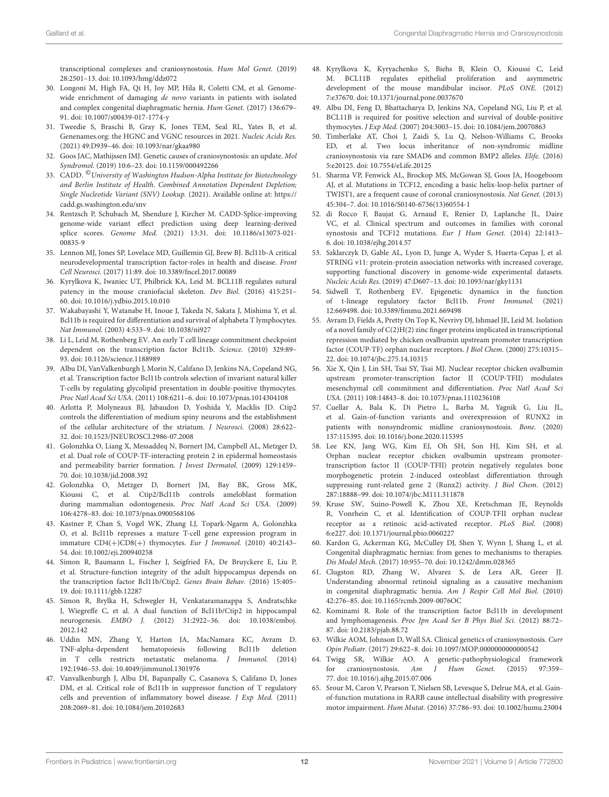transcriptional complexes and craniosynostosis. Hum Mol Genet. (2019) 28:2501–13. doi: [10.1093/hmg/ddz072](https://doi.org/10.1093/hmg/ddz072)

- <span id="page-11-0"></span>30. Longoni M, High FA, Qi H, Joy MP, Hila R, Coletti CM, et al. Genomewide enrichment of damaging de novo variants in patients with isolated and complex congenital diaphragmatic hernia. Hum Genet. (2017) 136:679– 91. doi: [10.1007/s00439-017-1774-y](https://doi.org/10.1007/s00439-017-1774-y)
- <span id="page-11-1"></span>31. Tweedie S, Braschi B, Gray K, Jones TEM, Seal RL, Yates B, et al. Genenames.org: the HGNC and VGNC resources in 2021. Nucleic Acids Res. (2021) 49:D939–46. doi: [10.1093/nar/gkaa980](https://doi.org/10.1093/nar/gkaa980)
- <span id="page-11-3"></span>32. Goos JAC, Mathijssen IMJ. Genetic causes of craniosynostosis: an update. Mol Syndromol. (2019) 10:6–23. doi: [10.1159/000492266](https://doi.org/10.1159/000492266)
- <span id="page-11-4"></span>33. CADD. <sup>©</sup>University of Washington Hudson-Alpha Institute for Biotechnology and Berlin Institute of Health. Combined Annotation Dependent Depletion; Single Nucleotide Variant (SNV) Lookup. (2021). Available online at: [https://](https://cadd.gs.washington.edu/snv) [cadd.gs.washington.edu/snv](https://cadd.gs.washington.edu/snv)
- <span id="page-11-5"></span>34. Rentzsch P, Schubach M, Shendure J, Kircher M. CADD-Splice-improving genome-wide variant effect prediction using deep learning-derived splice scores. Genome Med. [\(2021\) 13:31. doi: 10.1186/s13073-021-](https://doi.org/10.1186/s13073-021-00835-9) 00835-9
- <span id="page-11-6"></span>35. Lennon MJ, Jones SP, Lovelace MD, Guillemin GJ, Brew BJ. Bcl11b-A critical neurodevelopmental transcription factor-roles in health and disease. Front Cell Neurosci. (2017) 11:89. doi: [10.3389/fncel.2017.00089](https://doi.org/10.3389/fncel.2017.00089)
- <span id="page-11-7"></span>36. Kyrylkova K, Iwaniec UT, Philbrick KA, Leid M. BCL11B regulates sutural patency in the mouse craniofacial skeleton. Dev Biol. (2016) 415:251– 60. doi: [10.1016/j.ydbio.2015.10.010](https://doi.org/10.1016/j.ydbio.2015.10.010)
- 37. Wakabayashi Y, Watanabe H, Inoue J, Takeda N, Sakata J, Mishima Y, et al. Bcl11b is required for differentiation and survival of alphabeta T lymphocytes. Nat Immunol. (2003) 4:533–9. doi: [10.1038/ni927](https://doi.org/10.1038/ni927)
- 38. Li L, Leid M, Rothenberg EV. An early T cell lineage commitment checkpoint dependent on the transcription factor Bcl11b. Science. (2010) 329:89– 93. doi: [10.1126/science.1188989](https://doi.org/10.1126/science.1188989)
- 39. Albu DI, VanValkenburgh J, Morin N, Califano D, Jenkins NA, Copeland NG, et al. Transcription factor Bcl11b controls selection of invariant natural killer T-cells by regulating glycolipid presentation in double-positive thymocytes. Proc Natl Acad Sci USA. (2011) 108:6211–6. doi: [10.1073/pnas.1014304108](https://doi.org/10.1073/pnas.1014304108)
- 40. Arlotta P, Molyneaux BJ, Jabaudon D, Yoshida Y, Macklis JD. Ctip2 controls the differentiation of medium spiny neurons and the establishment of the cellular architecture of the striatum. J Neurosci. (2008) 28:622– 32. doi: [10.1523/JNEUROSCI.2986-07.2008](https://doi.org/10.1523/JNEUROSCI.2986-07.2008)
- 41. Golonzhka O, Liang X, Messaddeq N, Bornert JM, Campbell AL, Metzger D, et al. Dual role of COUP-TF-interacting protein 2 in epidermal homeostasis and permeability barrier formation. J Invest Dermatol. (2009) 129:1459– 70. doi: [10.1038/jid.2008.392](https://doi.org/10.1038/jid.2008.392)
- 42. Golonzhka O, Metzger D, Bornert JM, Bay BK, Gross MK, Kioussi C, et al. Ctip2/Bcl11b controls ameloblast formation during mammalian odontogenesis. Proc Natl Acad Sci USA. (2009) 106:4278–83. doi: [10.1073/pnas.0900568106](https://doi.org/10.1073/pnas.0900568106)
- 43. Kastner P, Chan S, Vogel WK, Zhang LJ, Topark-Ngarm A, Golonzhka O, et al. Bcl11b represses a mature T-cell gene expression program in immature CD4(+)CD8(+) thymocytes. Eur J Immunol. (2010) 40:2143– 54. doi: [10.1002/eji.200940258](https://doi.org/10.1002/eji.200940258)
- 44. Simon R, Baumann L, Fischer J, Seigfried FA, De Bruyckere E, Liu P, et al. Structure-function integrity of the adult hippocampus depends on the transcription factor Bcl11b/Ctip2. Genes Brain Behav. (2016) 15:405– 19. doi: [10.1111/gbb.12287](https://doi.org/10.1111/gbb.12287)
- 45. Simon R, Brylka H, Schwegler H, Venkataramanappa S, Andratschke J, Wiegreffe C, et al. A dual function of Bcl11b/Ctip2 in hippocampal neurogenesis. EMBO J. [\(2012\) 31:2922–36. doi: 10.1038/emboj.](https://doi.org/10.1038/emboj.2012.142) 2012.142
- 46. Uddin MN, Zhang Y, Harton JA, MacNamara KC, Avram D. TNF-alpha-dependent hematopoiesis following Bcl11b deletion in T cells restricts metastatic melanoma. J Immunol. (2014) 192:1946–53. doi: [10.4049/jimmunol.1301976](https://doi.org/10.4049/jimmunol.1301976)
- 47. Vanvalkenburgh J, Albu DI, Bapanpally C, Casanova S, Califano D, Jones DM, et al. Critical role of Bcl11b in suppressor function of T regulatory cells and prevention of inflammatory bowel disease. J Exp Med. (2011) 208:2069–81. doi: [10.1084/jem.20102683](https://doi.org/10.1084/jem.20102683)
- <span id="page-11-2"></span>48. Kyrylkova K, Kyryachenko S, Biehs B, Klein O, Kioussi C, Leid M. BCL11B regulates epithelial proliferation and asymmetric development of the mouse mandibular incisor. PLoS ONE. (2012) 7:e37670. doi: [10.1371/journal.pone.0037670](https://doi.org/10.1371/journal.pone.0037670)
- <span id="page-11-8"></span>49. Albu DI, Feng D, Bhattacharya D, Jenkins NA, Copeland NG, Liu P, et al. BCL11B is required for positive selection and survival of double-positive thymocytes. J Exp Med. (2007) 204:3003–15. doi: [10.1084/jem.20070863](https://doi.org/10.1084/jem.20070863)
- <span id="page-11-9"></span>50. Timberlake AT, Choi J, Zaidi S, Lu Q, Nelson-Williams C, Brooks ED, et al. Two locus inheritance of non-syndromic midline craniosynostosis via rare SMAD6 and common BMP2 alleles. Elife. (2016) 5:e20125. doi: [10.7554/eLife.20125](https://doi.org/10.7554/eLife.20125)
- 51. Sharma VP, Fenwick AL, Brockop MS, McGowan SJ, Goos JA, Hoogeboom AJ, et al. Mutations in TCF12, encoding a basic helix-loop-helix partner of TWIST1, are a frequent cause of coronal craniosynostosis. Nat Genet. (2013) 45:304–7. doi: [10.1016/S0140-6736\(13\)60554-1](https://doi.org/10.1016/S0140-6736(13)60554-1)
- <span id="page-11-10"></span>52. di Rocco F, Baujat G, Arnaud E, Renier D, Laplanche JL, Daire VC, et al. Clinical spectrum and outcomes in families with coronal synostosis and TCF12 mutations. Eur J Hum Genet. (2014) 22:1413– 6. doi: [10.1038/ejhg.2014.57](https://doi.org/10.1038/ejhg.2014.57)
- <span id="page-11-11"></span>53. Szklarczyk D, Gable AL, Lyon D, Junge A, Wyder S, Huerta-Cepas J, et al. STRING v11: protein-protein association networks with increased coverage, supporting functional discovery in genome-wide experimental datasets. Nucleic Acids Res. (2019) 47:D607–13. doi: [10.1093/nar/gky1131](https://doi.org/10.1093/nar/gky1131)
- <span id="page-11-12"></span>54. Sidwell T, Rothenberg EV. Epigenetic dynamics in the function of t-lineage regulatory factor Bcl11b. Front Immunol. (2021) 12:669498. doi: [10.3389/fimmu.2021.669498](https://doi.org/10.3389/fimmu.2021.669498)
- <span id="page-11-13"></span>55. Avram D, Fields A, Pretty On Top K, Nevrivy DJ, Ishmael JE, Leid M. Isolation of a novel family of C(2)H(2) zinc finger proteins implicated in transcriptional repression mediated by chicken ovalbumin upstream promoter transcription factor (COUP-TF) orphan nuclear receptors. J Biol Chem. (2000) 275:10315– 22. doi: [10.1074/jbc.275.14.10315](https://doi.org/10.1074/jbc.275.14.10315)
- <span id="page-11-14"></span>56. Xie X, Qin J, Lin SH, Tsai SY, Tsai MJ. Nuclear receptor chicken ovalbumin upstream promoter-transcription factor II (COUP-TFII) modulates mesenchymal cell commitment and differentiation. Proc Natl Acad Sci USA. (2011) 108:14843–8. doi: [10.1073/pnas.1110236108](https://doi.org/10.1073/pnas.1110236108)
- 57. Cuellar A, Bala K, Di Pietro L, Barba M, Yagnik G, Liu JL, et al. Gain-of-function variants and overexpression of RUNX2 in patients with nonsyndromic midline craniosynostosis. Bone. (2020) 137:115395. doi: [10.1016/j.bone.2020.115395](https://doi.org/10.1016/j.bone.2020.115395)
- 58. Lee KN, Jang WG, Kim EJ, Oh SH, Son HJ, Kim SH, et al. Orphan nuclear receptor chicken ovalbumin upstream promotertranscription factor II (COUP-TFII) protein negatively regulates bone morphogenetic protein 2-induced osteoblast differentiation through suppressing runt-related gene 2 (Runx2) activity. J Biol Chem. (2012) 287:18888–99. doi: [10.1074/jbc.M111.311878](https://doi.org/10.1074/jbc.M111.311878)
- 59. Kruse SW, Suino-Powell K, Zhou XE, Kretschman JE, Reynolds R, Vonrhein C, et al. Identification of COUP-TFII orphan nuclear receptor as a retinoic acid-activated receptor. PLoS Biol. (2008) 6:e227. doi: [10.1371/journal.pbio.0060227](https://doi.org/10.1371/journal.pbio.0060227)
- 60. Kardon G, Ackerman KG, McCulley DJ, Shen Y, Wynn J, Shang L, et al. Congenital diaphragmatic hernias: from genes to mechanisms to therapies. Dis Model Mech. (2017) 10:955–70. doi: [10.1242/dmm.028365](https://doi.org/10.1242/dmm.028365)
- <span id="page-11-15"></span>61. Clugston RD, Zhang W, Alvarez S, de Lera AR, Greer JJ. Understanding abnormal retinoid signaling as a causative mechanism in congenital diaphragmatic hernia. Am J Respir Cell Mol Biol. (2010) 42:276–85. doi: [10.1165/rcmb.2009-0076OC](https://doi.org/10.1165/rcmb.2009-0076OC)
- <span id="page-11-16"></span>62. Kominami R. Role of the transcription factor Bcl11b in development and lymphomagenesis. Proc Jpn Acad Ser B Phys Biol Sci. (2012) 88:72– 87. doi: [10.2183/pjab.88.72](https://doi.org/10.2183/pjab.88.72)
- <span id="page-11-17"></span>63. Wilkie AOM, Johnson D, Wall SA. Clinical genetics of craniosynostosis. Curr Opin Pediatr. (2017) 29:622–8. doi: [10.1097/MOP.0000000000000542](https://doi.org/10.1097/MOP.0000000000000542)
- <span id="page-11-18"></span>64. Twigg SR, Wilkie AO. A genetic-pathophysiological framework for craniosynostosis. Am J Hum Genet. (2015) 97:359– 77. doi: [10.1016/j.ajhg.2015.07.006](https://doi.org/10.1016/j.ajhg.2015.07.006)
- 65. Srour M, Caron V, Pearson T, Nielsen SB, Levesque S, Delrue MA, et al. Gainof-function mutations in RARB cause intellectual disability with progressive motor impairment. Hum Mutat. (2016) 37:786–93. doi: [10.1002/humu.23004](https://doi.org/10.1002/humu.23004)